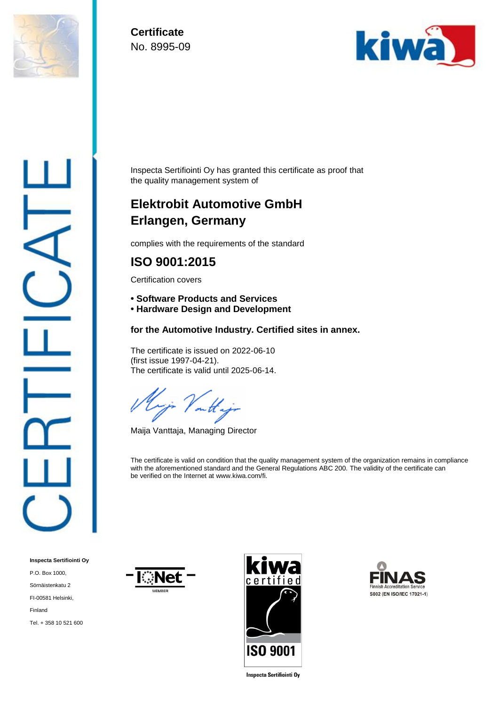

**Certificate** No. 8995-09



Inspecta Sertifiointi Oy has granted this certificate as proof that the quality management system of

# **Elektrobit Automotive GmbH Erlangen, Germany**

complies with the requirements of the standard

### **ISO 9001:2015**

Certification covers

- **Software Products and Services**
- **• Hardware Design and Development**

#### **for the Automotive Industry. Certified sites in annex.**

The certificate is issued on 2022-06-10 (first issue 1997-04-21). The certificate is valid until 2025-06-14.

onth

Maija Vanttaja, Managing Director

The certificate is valid on condition that the quality management system of the organization remains in compliance with the aforementioned standard and the General Regulations ABC 200. The validity of the certificate can be verified on the Internet at www.kiwa.com/fi.

**Inspecta Sertifiointi Oy** P.O. Box 1000, Sörnäistenkatu 2 FI-00581 Helsinki, Finland Tel. + 358 10 521 600







**Inspecta Sertifiointi Oy**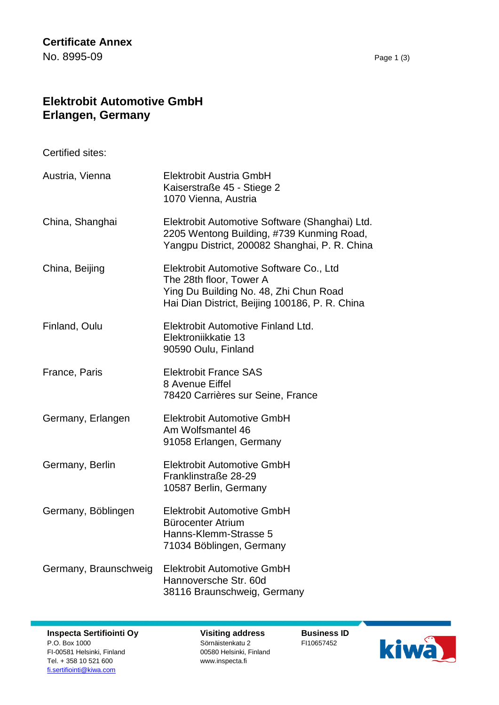## **Elektrobit Automotive GmbH Erlangen, Germany**

Certified sites:

| Austria, Vienna       | <b>Elektrobit Austria GmbH</b><br>Kaiserstraße 45 - Stiege 2<br>1070 Vienna, Austria                                                                           |
|-----------------------|----------------------------------------------------------------------------------------------------------------------------------------------------------------|
| China, Shanghai       | Elektrobit Automotive Software (Shanghai) Ltd.<br>2205 Wentong Building, #739 Kunming Road,<br>Yangpu District, 200082 Shanghai, P. R. China                   |
| China, Beijing        | Elektrobit Automotive Software Co., Ltd<br>The 28th floor, Tower A<br>Ying Du Building No. 48, Zhi Chun Road<br>Hai Dian District, Beijing 100186, P. R. China |
| Finland, Oulu         | Elektrobit Automotive Finland Ltd.<br>Elektroniikkatie 13<br>90590 Oulu, Finland                                                                               |
| France, Paris         | <b>Elektrobit France SAS</b><br>8 Avenue Eiffel<br>78420 Carrières sur Seine, France                                                                           |
| Germany, Erlangen     | <b>Elektrobit Automotive GmbH</b><br>Am Wolfsmantel 46<br>91058 Erlangen, Germany                                                                              |
| Germany, Berlin       | <b>Elektrobit Automotive GmbH</b><br>Franklinstraße 28-29<br>10587 Berlin, Germany                                                                             |
| Germany, Böblingen    | <b>Elektrobit Automotive GmbH</b><br>Bürocenter Atrium<br>Hanns-Klemm-Strasse 5<br>71034 Böblingen, Germany                                                    |
| Germany, Braunschweig | <b>Elektrobit Automotive GmbH</b><br>Hannoversche Str. 60d<br>38116 Braunschweig, Germany                                                                      |

**Inspecta Sertifiointi Oy** P.O. Box 1000 FI-00581 Helsinki, Finland Tel. + 358 10 521 600 [fi.sertifiointi@kiwa.com](mailto:fi.sertifiointi@kiwa.com)

**Visiting address** Sörnäistenkatu 2 00580 Helsinki, Finland www.inspecta.fi

**Business ID** FI10657452

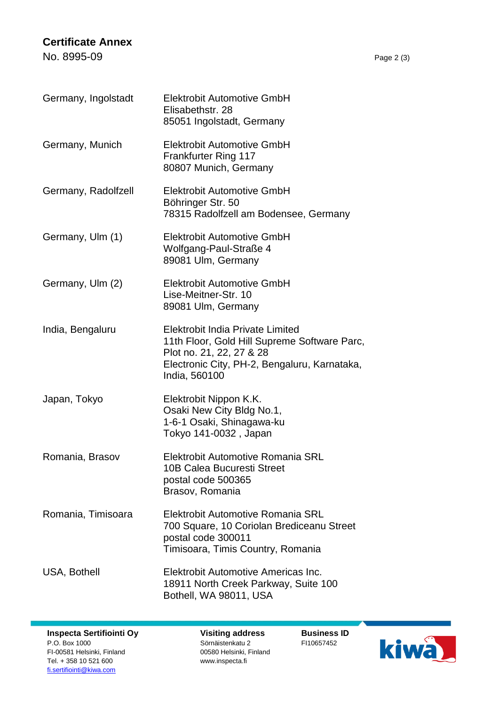#### **Certificate Annex**

No. 8995-09 Page 2 (3)

| Germany, Ingolstadt | <b>Elektrobit Automotive GmbH</b><br>Elisabethstr. 28<br>85051 Ingolstadt, Germany                                                                                            |
|---------------------|-------------------------------------------------------------------------------------------------------------------------------------------------------------------------------|
| Germany, Munich     | <b>Elektrobit Automotive GmbH</b><br><b>Frankfurter Ring 117</b><br>80807 Munich, Germany                                                                                     |
| Germany, Radolfzell | <b>Elektrobit Automotive GmbH</b><br>Böhringer Str. 50<br>78315 Radolfzell am Bodensee, Germany                                                                               |
| Germany, Ulm (1)    | <b>Elektrobit Automotive GmbH</b><br>Wolfgang-Paul-Straße 4<br>89081 Ulm, Germany                                                                                             |
| Germany, Ulm (2)    | <b>Elektrobit Automotive GmbH</b><br>Lise-Meitner-Str. 10<br>89081 Ulm, Germany                                                                                               |
| India, Bengaluru    | Elektrobit India Private Limited<br>11th Floor, Gold Hill Supreme Software Parc,<br>Plot no. 21, 22, 27 & 28<br>Electronic City, PH-2, Bengaluru, Karnataka,<br>India, 560100 |
| Japan, Tokyo        | Elektrobit Nippon K.K.<br>Osaki New City Bldg No.1,<br>1-6-1 Osaki, Shinagawa-ku<br>Tokyo 141-0032, Japan                                                                     |
| Romania, Brasov     | Elektrobit Automotive Romania SRL<br>10B Calea Bucuresti Street<br>postal code 500365<br>Brasov, Romania                                                                      |
| Romania, Timisoara  | Elektrobit Automotive Romania SRL<br>700 Square, 10 Coriolan Brediceanu Street<br>postal code 300011<br>Timisoara, Timis Country, Romania                                     |

USA, Bothell **Elektrobit Automotive Americas Inc.** 18911 North Creek Parkway, Suite 100 Bothell, WA 98011, USA

**Visiting address** Sörnäistenkatu 2 00580 Helsinki, Finland www.inspecta.fi

**Business ID** FI10657452